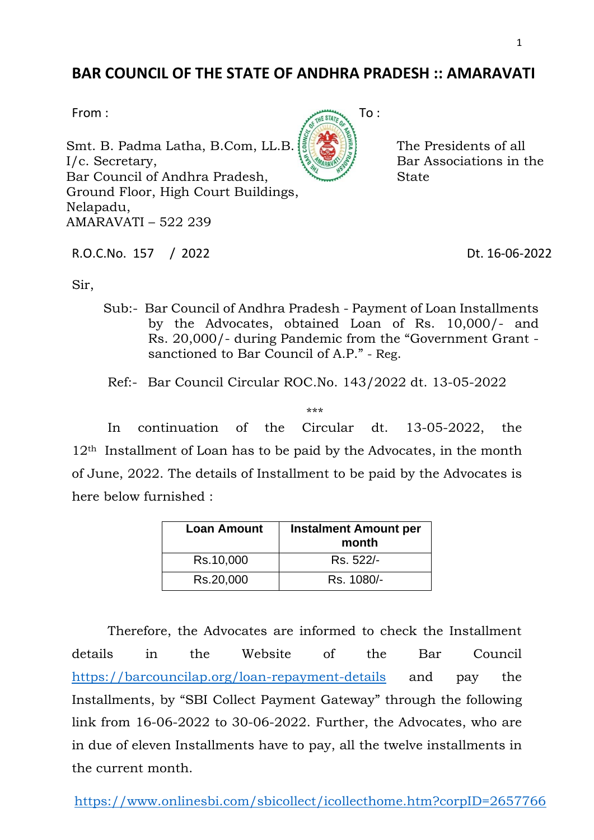## **BAR COUNCIL OF THE STATE OF ANDHRA PRADESH :: AMARAVATI**

Smt. B. Padma Latha, B.Com, LL.B. I/c. Secretary, Bar Council of Andhra Pradesh, Ground Floor, High Court Buildings, Nelapadu, AMARAVATI – 522 239

R.O.C.No. 157 / 2022 Dt. 16-06-2022

The Presidents of all Bar Associations in the

**State** 

Sir,

Sub:- Bar Council of Andhra Pradesh - Payment of Loan Installments by the Advocates, obtained Loan of Rs. 10,000/- and Rs. 20,000/- during Pandemic from the "Government Grant sanctioned to Bar Council of A.P." - Reg.

Ref:- Bar Council Circular ROC.No. 143/2022 dt. 13-05-2022

\*\*\*

In continuation of the Circular dt. 13-05-2022, the 12th Installment of Loan has to be paid by the Advocates, in the month of June, 2022. The details of Installment to be paid by the Advocates is here below furnished :

| <b>Loan Amount</b> | <b>Instalment Amount per</b><br>month |
|--------------------|---------------------------------------|
| Rs.10,000          | Rs. 522/-                             |
| Rs.20,000          | Rs. 1080/-                            |

Therefore, the Advocates are informed to check the Installment details in the Website of the Bar Council <https://barcouncilap.org/loan-repayment-details> and pay the Installments, by "SBI Collect Payment Gateway" through the following link from 16-06-2022 to 30-06-2022. Further, the Advocates, who are in due of eleven Installments have to pay, all the twelve installments in the current month.